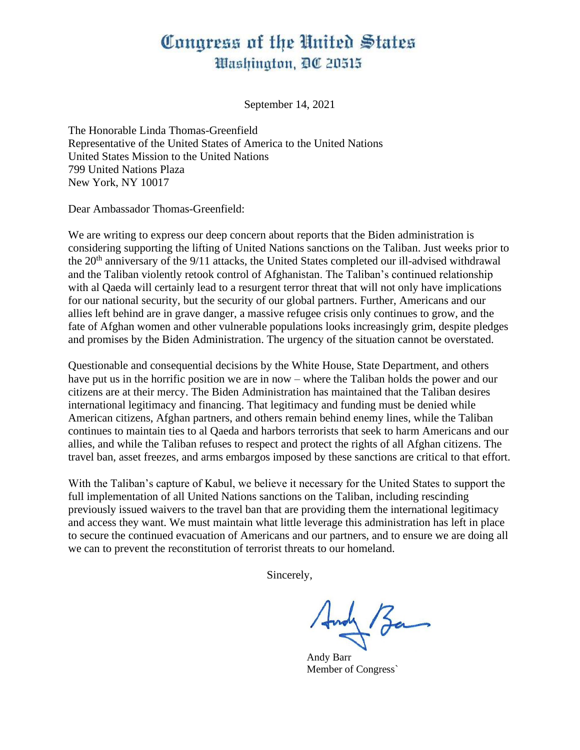## Congress of the United States Washington, DC 20515

September 14, 2021

The Honorable Linda Thomas-Greenfield Representative of the United States of America to the United Nations United States Mission to the United Nations 799 United Nations Plaza New York, NY 10017

Dear Ambassador Thomas-Greenfield:

We are writing to express our deep concern about reports that the Biden administration is considering supporting the lifting of United Nations sanctions on the Taliban. Just weeks prior to the 20<sup>th</sup> anniversary of the 9/11 attacks, the United States completed our ill-advised withdrawal and the Taliban violently retook control of Afghanistan. The Taliban's continued relationship with al Qaeda will certainly lead to a resurgent terror threat that will not only have implications for our national security, but the security of our global partners. Further, Americans and our allies left behind are in grave danger, a massive refugee crisis only continues to grow, and the fate of Afghan women and other vulnerable populations looks increasingly grim, despite pledges and promises by the Biden Administration. The urgency of the situation cannot be overstated.

Questionable and consequential decisions by the White House, State Department, and others have put us in the horrific position we are in now – where the Taliban holds the power and our citizens are at their mercy. The Biden Administration has maintained that the Taliban desires international legitimacy and financing. That legitimacy and funding must be denied while American citizens, Afghan partners, and others remain behind enemy lines, while the Taliban continues to maintain ties to al Qaeda and harbors terrorists that seek to harm Americans and our allies, and while the Taliban refuses to respect and protect the rights of all Afghan citizens. The travel ban, asset freezes, and arms embargos imposed by these sanctions are critical to that effort.

With the Taliban's capture of Kabul, we believe it necessary for the United States to support the full implementation of all United Nations sanctions on the Taliban, including rescinding previously issued waivers to the travel ban that are providing them the international legitimacy and access they want. We must maintain what little leverage this administration has left in place to secure the continued evacuation of Americans and our partners, and to ensure we are doing all we can to prevent the reconstitution of terrorist threats to our homeland.

Sincerely,

Andy Barr Member of Congress`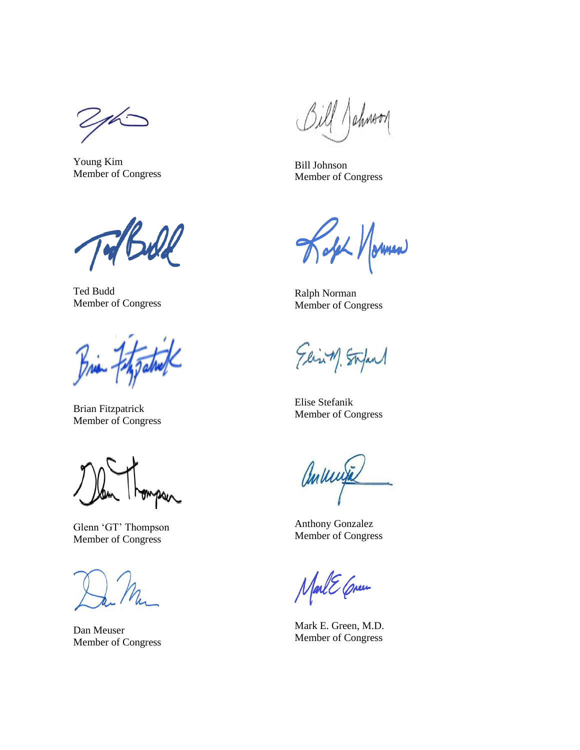$16-$ 

Young Kim Member of Congress

Ted Budd Member of Congress

Brian For

Brian Fitzpatrick Member of Congress

Glenn 'GT' Thompson Member of Congress

Dan Meuser Member of Congress

Sill Johnson

Bill Johnson Member of Congress

old Normen

Ralph Norman Member of Congress

Elisin) Stepant

Elise Stefanik Member of Congress

annuite

Anthony Gonzalez Member of Congress

MarlE Crum

Mark E. Green, M.D. Member of Congress